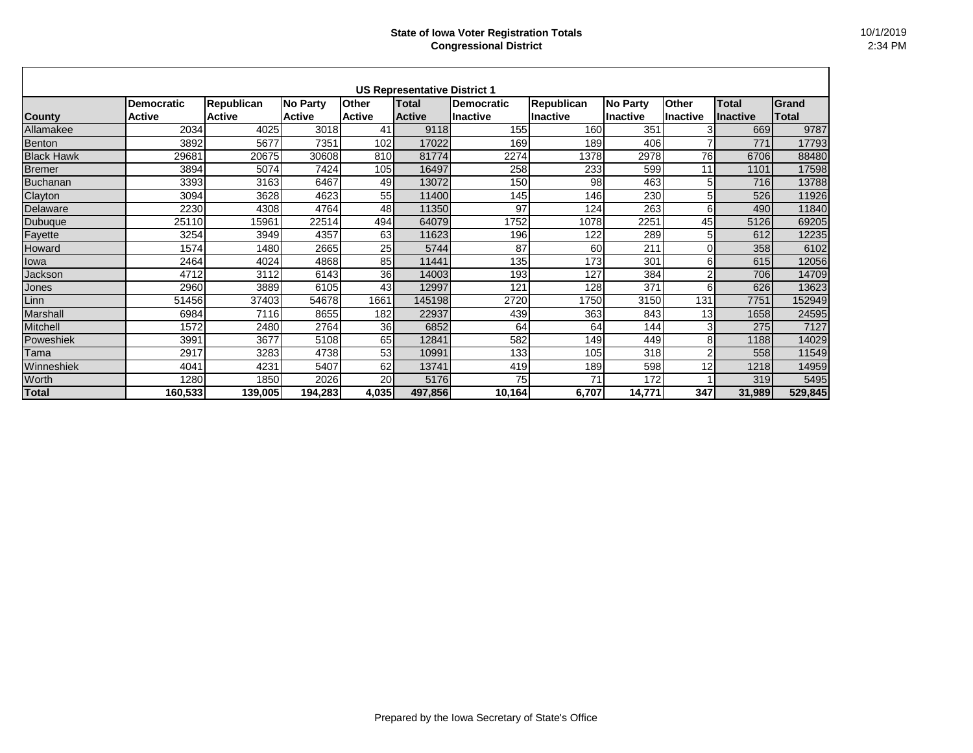|                   |                   |                   |                 |               | <b>US Representative District 1</b> |                   |                   |                 |                 |                 |              |
|-------------------|-------------------|-------------------|-----------------|---------------|-------------------------------------|-------------------|-------------------|-----------------|-----------------|-----------------|--------------|
|                   | <b>Democratic</b> | <b>Republican</b> | <b>No Party</b> | <b>Other</b>  | <b>Total</b>                        | <b>Democratic</b> | <b>Republican</b> | <b>No Party</b> | <b>Other</b>    | <b>Total</b>    | Grand        |
| <b>County</b>     | <b>Active</b>     | <b>Active</b>     | <b>Active</b>   | <b>Active</b> | <b>Active</b>                       | <b>Inactive</b>   | Ilnactive         | Inactive        | <b>Inactive</b> | <b>Inactive</b> | <b>Total</b> |
| Allamakee         | 2034              | 4025              | 3018            | 41            | 9118                                | 155               | 160               | 351             | 3               | 669             | 9787         |
| Benton            | 3892              | 5677              | 7351            | 102           | 17022                               | 169               | 189               | 406             | 7               | 771             | 17793        |
| <b>Black Hawk</b> | 29681             | 20675             | 30608           | 810           | 81774                               | 2274              | 1378              | 2978            | 76              | 6706            | 88480        |
| <b>Bremer</b>     | 3894              | 5074              | 7424            | 105           | 16497                               | 258               | 233               | 599             | 11              | 1101            | 17598        |
| Buchanan          | 3393              | 3163              | 6467            | 49            | 13072                               | 150               | 98                | 463             | 5               | 716             | 13788        |
| Clayton           | 3094              | 3628              | 4623            | 55            | 11400                               | 145               | 146               | 230             | 5               | 526             | 11926        |
| Delaware          | 2230              | 4308              | 4764            | 48            | 11350                               | 97                | 124               | 263             | 6               | 490             | 11840        |
| Dubuque           | 25110             | 15961             | 22514           | 494           | 64079                               | 1752              | 1078              | 2251            | 45              | 5126            | 69205        |
| Fayette           | 3254              | 3949              | 4357            | 63            | 11623                               | 196               | 122               | 289             | 5               | 612             | 12235        |
| Howard            | 1574              | 1480              | 2665            | 25            | 5744                                | 87                | 60                | 211             | 0               | 358             | 6102         |
| lowa              | 2464              | 4024              | 4868            | 85            | 11441                               | 135               | 173               | 301             | 6               | 615             | 12056        |
| Jackson           | 4712              | 3112              | 6143            | 36            | 14003                               | 193               | 127               | 384             | $\overline{2}$  | 706             | 14709        |
| Jones             | 2960              | 3889              | 6105            | 43            | 12997                               | 121               | 128               | 371             | 6               | 626             | 13623        |
| Linn              | 51456             | 37403             | 54678           | 1661          | 145198                              | 2720              | 1750              | 3150            | 131             | 7751            | 152949       |
| Marshall          | 6984              | 7116              | 8655            | 182           | 22937                               | 439               | 363               | 843             | 13 <sup>1</sup> | 1658            | 24595        |
| Mitchell          | 1572              | 2480              | 2764            | 36            | 6852                                | 64                | 64                | 144             | $\overline{3}$  | 275             | 7127         |
| Poweshiek         | 3991              | 3677              | 5108            | 65            | 12841                               | 582               | 149               | 449             | 8 <sub>l</sub>  | 1188            | 14029        |
| Tama              | 2917              | 3283              | 4738            | 53            | 10991                               | 133               | 105               | 318             | $\overline{2}$  | 558             | 11549        |
| Winneshiek        | 4041              | 4231              | 5407            | 62            | 13741                               | 419               | 189               | 598             | 12              | 1218            | 14959        |
| Worth             | 1280              | 1850              | 2026            | 20            | 5176                                | 75                | 71                | 172             |                 | 319             | 5495         |
| <b>Total</b>      | 160,533           | 139,005           | 194,283         | 4,035         | 497,856                             | 10,164            | 6,707             | 14,771          | 347             | 31,989          | 529,845      |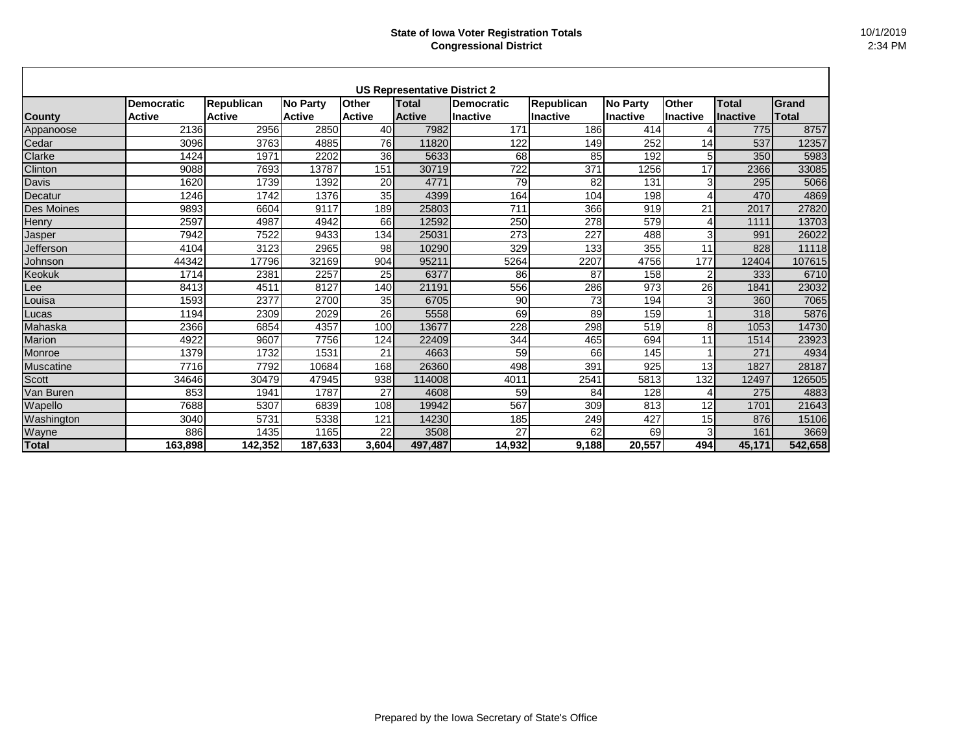|                   |                   |                   |                 |               | <b>US Representative District 2</b> |                 |                   |                 |                 |                 |         |
|-------------------|-------------------|-------------------|-----------------|---------------|-------------------------------------|-----------------|-------------------|-----------------|-----------------|-----------------|---------|
|                   | <b>Democratic</b> | <b>Republican</b> | <b>No Party</b> | <b>Other</b>  | <b>Total</b>                        | Democratic      | <b>Republican</b> | <b>No Party</b> | <b>Other</b>    | Total           | Grand   |
| County            | <b>Active</b>     | <b>Active</b>     | <b>Active</b>   | <b>Active</b> | <b>Active</b>                       | <b>Inactive</b> | <b>Inactive</b>   | <b>Inactive</b> | <b>Inactive</b> | <b>Inactive</b> | Total   |
| Appanoose         | 2136              | 2956              | 2850            | 40            | 7982                                | 171             | 186               | 414             | 4               | 775             | 8757    |
| Cedar             | 3096              | 3763              | 4885            | 76            | 11820                               | 122             | 149               | 252             | 14              | 537             | 12357   |
| Clarke            | 1424              | 1971              | 2202            | 36            | 5633                                | 68              | 85                | 192             | 5               | 350             | 5983    |
| Clinton           | 9088              | 7693              | 13787           | 151           | 30719                               | 722             | 371               | 1256            | 17              | 2366            | 33085   |
| Davis             | 1620              | 1739              | 1392            | 20            | 4771                                | 79              | 82                | 131             | 3 <sub>l</sub>  | 295             | 5066    |
| Decatur           | 1246              | 1742              | 1376            | 35            | 4399                                | 164             | 104               | 198             | 4               | 470             | 4869    |
| <b>Des Moines</b> | 9893              | 6604              | 9117            | 189           | 25803                               | 711             | 366               | 919             | 21              | 2017            | 27820   |
| Henry             | 2597              | 4987              | 4942            | 66            | 12592                               | 250             | 278               | 579             | 4               | 1111            | 13703   |
| Jasper            | 7942              | 7522              | 9433            | 134           | 25031                               | 273             | 227               | 488             | 3               | 991             | 26022   |
| Jefferson         | 4104              | 3123              | 2965            | 98            | 10290                               | 329             | 133               | 355             | 11              | 828             | 11118   |
| Johnson           | 44342             | 17796             | 32169           | 904           | 95211                               | 5264            | 2207              | 4756            | 177             | 12404           | 107615  |
| <b>Keokuk</b>     | 1714              | 2381              | 2257            | 25            | 6377                                | 86              | 87                | 158             | $\overline{2}$  | 333             | 6710    |
| Lee               | 8413              | 4511              | 8127            | 140           | 21191                               | 556             | 286               | 973             | 26              | 1841            | 23032   |
| Louisa            | 1593              | 2377              | 2700            | 35            | 6705                                | 90              | 73                | 194             | 3               | 360             | 7065    |
| Lucas             | 1194              | 2309              | 2029            | 26            | 5558                                | 69              | 89                | 159             |                 | 318             | 5876    |
| Mahaska           | 2366              | 6854              | 4357            | 100           | 13677                               | 228             | 298               | 519             | 8               | 1053            | 14730   |
| Marion            | 4922              | 9607              | 7756            | 124           | 22409                               | 344             | 465               | 694             | 11              | 1514            | 23923   |
| Monroe            | 1379              | 1732              | 1531            | 21            | 4663                                | 59              | 66                | 145             |                 | 271             | 4934    |
| Muscatine         | 7716              | 7792              | 10684           | 168           | 26360                               | 498             | 391               | 925             | 13              | 1827            | 28187   |
| <b>Scott</b>      | 34646             | 30479             | 47945           | 938           | 114008                              | 4011            | 2541              | 5813            | 132             | 12497           | 126505  |
| Van Buren         | 853               | 1941              | 1787            | 27            | 4608                                | 59              | 84                | 128             | 4               | 275             | 4883    |
| Wapello           | 7688              | 5307              | 6839            | 108           | 19942                               | 567             | 309               | 813             | 12              | 1701            | 21643   |
| Washington        | 3040              | 5731              | 5338            | 121           | 14230                               | 185             | 249               | 427             | 15              | 876             | 15106   |
| Wayne             | 886               | 1435              | 1165            | 22            | 3508                                | 27              | 62                | 69              | 3               | 161             | 3669    |
| Total             | 163,898           | 142,352           | 187,633         | 3,604         | 497,487                             | 14,932          | 9,188             | 20,557          | 494             | 45,171          | 542,658 |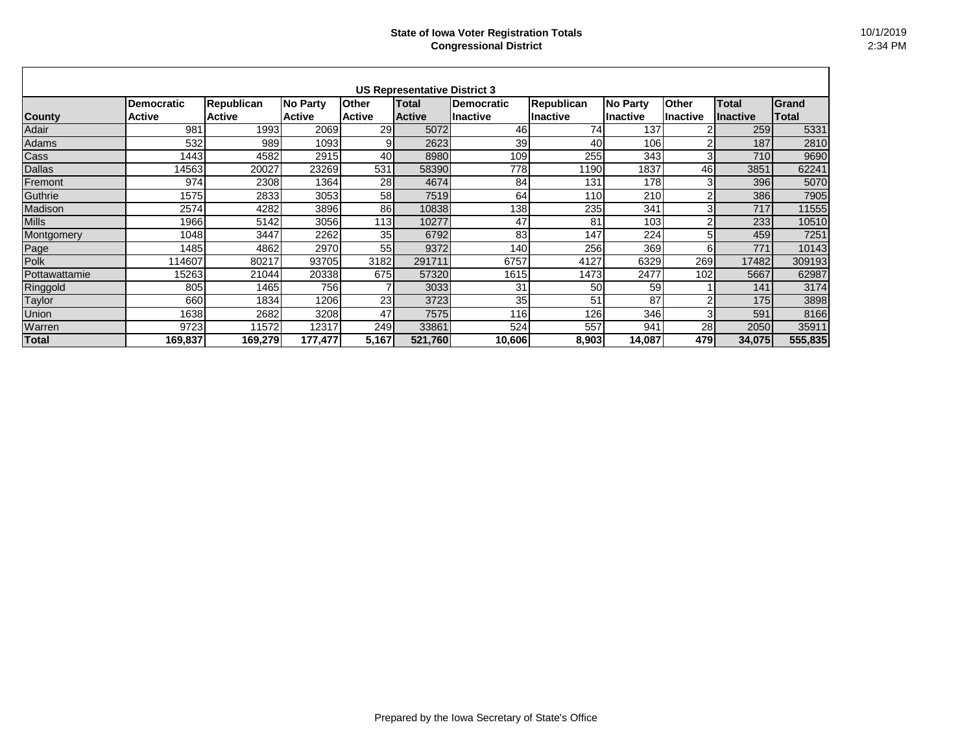| <b>US Representative District 3</b> |                   |                   |               |               |               |                   |                   |                  |                 |                 |              |
|-------------------------------------|-------------------|-------------------|---------------|---------------|---------------|-------------------|-------------------|------------------|-----------------|-----------------|--------------|
|                                     | <b>Democratic</b> | <b>Republican</b> | No Party      | <b>Other</b>  | <b>Total</b>  | <b>Democratic</b> | <b>Republican</b> | No Party         | <b>Other</b>    | <b>Total</b>    | Grand        |
| <b>County</b>                       | <b>Active</b>     | <b>Active</b>     | <b>Active</b> | <b>Active</b> | <b>Active</b> | lInactive         | Inactive          | <b>I</b> nactive | <b>Inactive</b> | <b>Inactive</b> | <b>Total</b> |
| Adair                               | 981               | 1993              | 2069          | 29            | 5072          | 46                | 74                | 137              |                 | 259             | 5331         |
| Adams                               | 532               | 989               | 1093          | 9             | 2623          | 39                | 40                | 106              | 2               | 187             | 2810         |
| Cass                                | 1443              | 4582              | 2915          | 40            | 8980          | 109               | 255               | 343              | 3 <sub>l</sub>  | 710             | 9690         |
| <b>Dallas</b>                       | 14563             | 20027             | 23269         | 531           | 58390         | 778               | 1190              | 1837             | 46              | 3851            | 62241        |
| Fremont                             | 974               | 2308              | 1364          | 28            | 4674          | 84                | 131               | 178              | 3               | 396             | 5070         |
| Guthrie                             | 1575              | 2833              | 3053          | 58            | 7519          | 64                | 110               | 210              | 2               | 386             | 7905         |
| Madison                             | 2574              | 4282              | 3896          | 86            | 10838         | 138               | 235               | 341              | 3               | 717             | 11555        |
| <b>Mills</b>                        | 1966              | 5142              | 3056          | 113           | 10277         | 47                | 81                | 103              | $\overline{2}$  | 233             | 10510        |
| Montgomery                          | 1048              | 3447              | 2262          | 35            | 6792          | 83                | 147               | 224              | 5               | 459             | 7251         |
| Page                                | 1485              | 4862              | 2970          | 55            | 9372          | 140               | 256               | 369              | 61              | 771             | 10143        |
| Polk                                | 114607            | 80217             | 93705         | 3182          | 291711        | 6757              | 4127              | 6329             | 269             | 17482           | 309193       |
| Pottawattamie                       | 15263             | 21044             | 20338         | 675           | 57320         | 1615              | 1473              | 2477             | 102             | 5667            | 62987        |
| Ringgold                            | 805               | 1465              | 756           |               | 3033          | 31                | 50                | 59               |                 | 141             | 3174         |
| <b>Taylor</b>                       | 660               | 1834              | 1206          | 23            | 3723          | 35                | 51                | 87               | $\overline{2}$  | 175             | 3898         |
| Union                               | 1638              | 2682              | 3208          | 47            | 7575          | 116               | 126               | 346              | 3 <sub>l</sub>  | 591             | 8166         |
| Warren                              | 9723              | 11572             | 12317         | 249           | 33861         | 524               | 557               | 941              | 28              | 2050            | 35911        |
| <b>Total</b>                        | 169,837           | 169,279           | 177,477       | 5,167         | 521,760       | 10,606            | 8,903             | 14,087           | 479             | 34,075          | 555,835      |